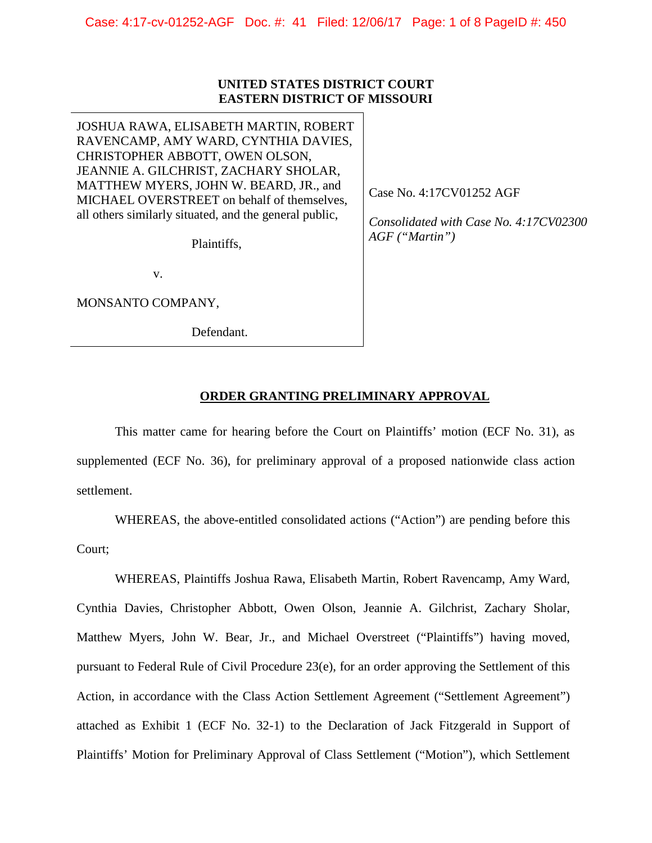### **UNITED STATES DISTRICT COURT EASTERN DISTRICT OF MISSOURI**

JOSHUA RAWA, ELISABETH MARTIN, ROBERT RAVENCAMP, AMY WARD, CYNTHIA DAVIES, CHRISTOPHER ABBOTT, OWEN OLSON, JEANNIE A. GILCHRIST, ZACHARY SHOLAR, MATTHEW MYERS, JOHN W. BEARD, JR., and MICHAEL OVERSTREET on behalf of themselves, all others similarly situated, and the general public,

Plaintiffs,

v.

MONSANTO COMPANY,

Defendant.

Case No. 4:17CV01252 AGF

*Consolidated with Case No. 4:17CV02300 AGF ("Martin")*

### **ORDER GRANTING PRELIMINARY APPROVAL**

This matter came for hearing before the Court on Plaintiffs' motion (ECF No. 31), as supplemented (ECF No. 36), for preliminary approval of a proposed nationwide class action settlement.

WHEREAS, the above-entitled consolidated actions ("Action") are pending before this Court;

WHEREAS, Plaintiffs Joshua Rawa, Elisabeth Martin, Robert Ravencamp, Amy Ward, Cynthia Davies, Christopher Abbott, Owen Olson, Jeannie A. Gilchrist, Zachary Sholar, Matthew Myers, John W. Bear, Jr., and Michael Overstreet ("Plaintiffs") having moved, pursuant to Federal Rule of Civil Procedure 23(e), for an order approving the Settlement of this Action, in accordance with the Class Action Settlement Agreement ("Settlement Agreement") attached as Exhibit 1 (ECF No. 32-1) to the Declaration of Jack Fitzgerald in Support of Plaintiffs' Motion for Preliminary Approval of Class Settlement ("Motion"), which Settlement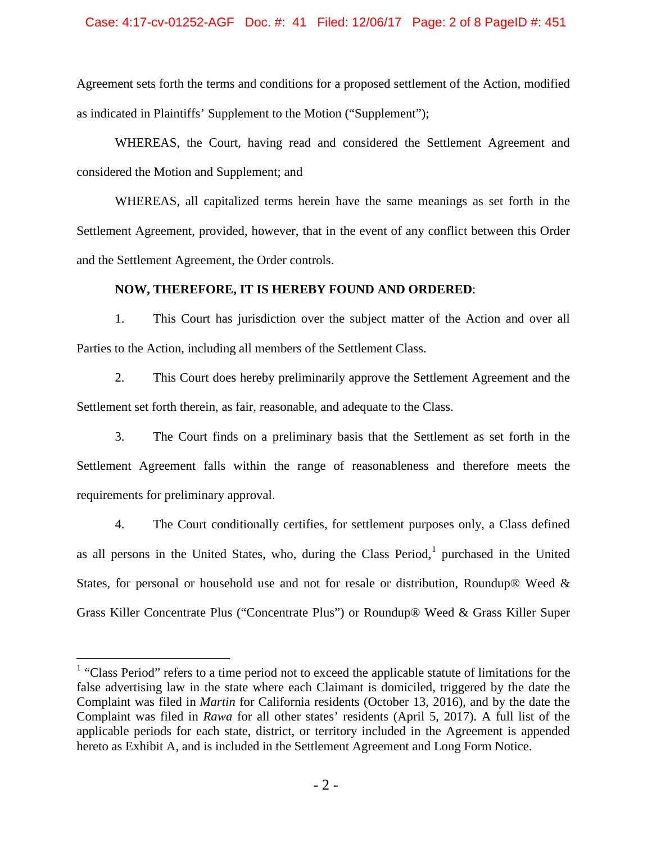## Case: 4:17-cv-01252-AGF Doc. #: 41 Filed: 12/06/17 Page: 2 of 8 PageID #: 451

Agreement sets forth the terms and conditions for a proposed settlement of the Action, modified as indicated in Plaintiffs' Supplement to the Motion ("Supplement");

WHEREAS, the Court, having read and considered the Settlement Agreement and considered the Motion and Supplement; and

WHEREAS, all capitalized terms herein have the same meanings as set forth in the Settlement Agreement, provided, however, that in the event of any conflict between this Order and the Settlement Agreement, the Order controls.

### **NOW, THEREFORE, IT IS HEREBY FOUND AND ORDERED**:

1. This Court has jurisdiction over the subject matter of the Action and over all Parties to the Action, including all members of the Settlement Class.

2. This Court does hereby preliminarily approve the Settlement Agreement and the Settlement set forth therein, as fair, reasonable, and adequate to the Class.

3. The Court finds on a preliminary basis that the Settlement as set forth in the Settlement Agreement falls within the range of reasonableness and therefore meets the requirements for preliminary approval.

4. The Court conditionally certifies, for settlement purposes only, a Class defined as all persons in the United States, who, during the Class Period, $<sup>1</sup>$  $<sup>1</sup>$  $<sup>1</sup>$  purchased in the United</sup> States, for personal or household use and not for resale or distribution, Roundup® Weed & Grass Killer Concentrate Plus ("Concentrate Plus") or Roundup® Weed & Grass Killer Super

<span id="page-1-0"></span><sup>&</sup>lt;sup>1</sup> "Class Period" refers to a time period not to exceed the applicable statute of limitations for the false advertising law in the state where each Claimant is domiciled, triggered by the date the Complaint was filed in *Martin* for California residents (October 13, 2016), and by the date the Complaint was filed in *Rawa* for all other states' residents (April 5, 2017). A full list of the applicable periods for each state, district, or territory included in the Agreement is appended hereto as Exhibit A, and is included in the Settlement Agreement and Long Form Notice.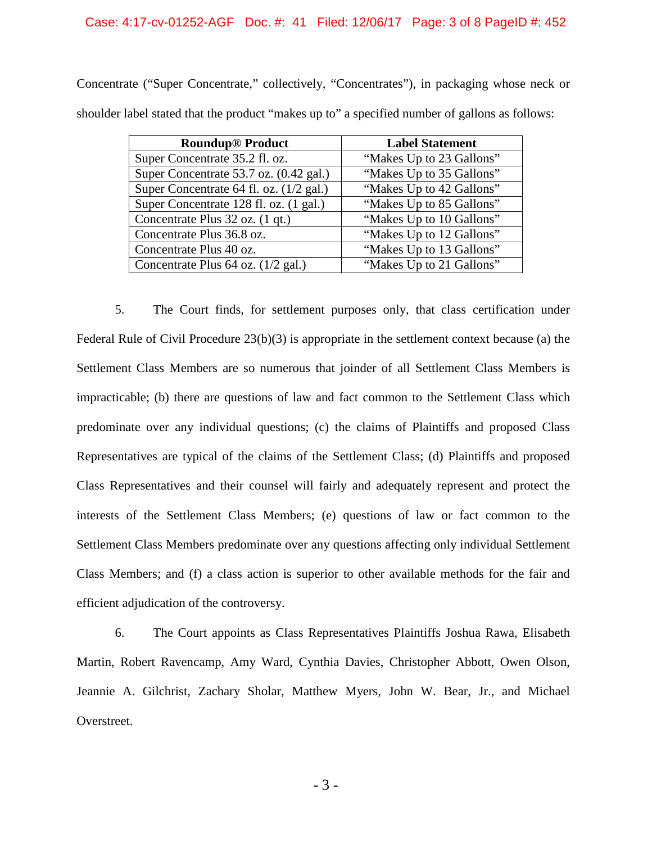## Case: 4:17-cv-01252-AGF Doc. #: 41 Filed: 12/06/17 Page: 3 of 8 PageID #: 452

| <b>Roundup<sup>®</sup></b> Product      | <b>Label Statement</b>   |
|-----------------------------------------|--------------------------|
| Super Concentrate 35.2 fl. oz.          | "Makes Up to 23 Gallons" |
| Super Concentrate 53.7 oz. (0.42 gal.)  | "Makes Up to 35 Gallons" |
| Super Concentrate 64 fl. oz. (1/2 gal.) | "Makes Up to 42 Gallons" |
| Super Concentrate 128 fl. oz. (1 gal.)  | "Makes Up to 85 Gallons" |
| Concentrate Plus 32 oz. (1 qt.)         | "Makes Up to 10 Gallons" |
| Concentrate Plus 36.8 oz.               | "Makes Up to 12 Gallons" |
| Concentrate Plus 40 oz.                 | "Makes Up to 13 Gallons" |
| Concentrate Plus 64 oz. (1/2 gal.)      | "Makes Up to 21 Gallons" |

Concentrate ("Super Concentrate," collectively, "Concentrates"), in packaging whose neck or shoulder label stated that the product "makes up to" a specified number of gallons as follows:

5. The Court finds, for settlement purposes only, that class certification under Federal Rule of Civil Procedure 23(b)(3) is appropriate in the settlement context because (a) the Settlement Class Members are so numerous that joinder of all Settlement Class Members is impracticable; (b) there are questions of law and fact common to the Settlement Class which predominate over any individual questions; (c) the claims of Plaintiffs and proposed Class Representatives are typical of the claims of the Settlement Class; (d) Plaintiffs and proposed Class Representatives and their counsel will fairly and adequately represent and protect the interests of the Settlement Class Members; (e) questions of law or fact common to the Settlement Class Members predominate over any questions affecting only individual Settlement Class Members; and (f) a class action is superior to other available methods for the fair and efficient adjudication of the controversy.

6. The Court appoints as Class Representatives Plaintiffs Joshua Rawa, Elisabeth Martin, Robert Ravencamp, Amy Ward, Cynthia Davies, Christopher Abbott, Owen Olson, Jeannie A. Gilchrist, Zachary Sholar, Matthew Myers, John W. Bear, Jr., and Michael Overstreet.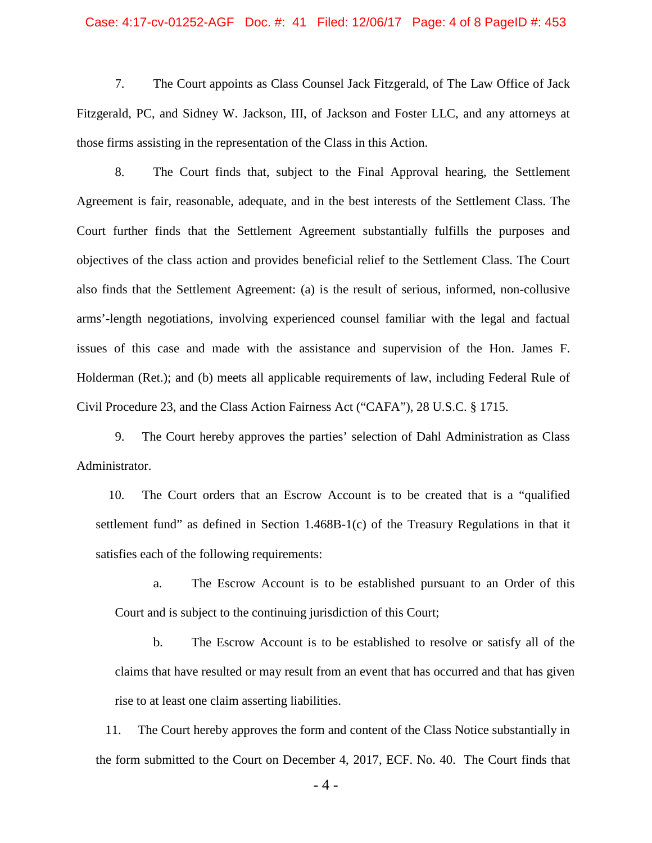### Case: 4:17-cv-01252-AGF Doc. #: 41 Filed: 12/06/17 Page: 4 of 8 PageID #: 453

7. The Court appoints as Class Counsel Jack Fitzgerald, of The Law Office of Jack Fitzgerald, PC, and Sidney W. Jackson, III, of Jackson and Foster LLC, and any attorneys at those firms assisting in the representation of the Class in this Action.

8. The Court finds that, subject to the Final Approval hearing, the Settlement Agreement is fair, reasonable, adequate, and in the best interests of the Settlement Class. The Court further finds that the Settlement Agreement substantially fulfills the purposes and objectives of the class action and provides beneficial relief to the Settlement Class. The Court also finds that the Settlement Agreement: (a) is the result of serious, informed, non-collusive arms'-length negotiations, involving experienced counsel familiar with the legal and factual issues of this case and made with the assistance and supervision of the Hon. James F. Holderman (Ret.); and (b) meets all applicable requirements of law, including Federal Rule of Civil Procedure 23, and the Class Action Fairness Act ("CAFA"), 28 U.S.C. § 1715.

9. The Court hereby approves the parties' selection of Dahl Administration as Class Administrator.

 10. The Court orders that an Escrow Account is to be created that is a "qualified settlement fund" as defined in Section 1.468B-1(c) of the Treasury Regulations in that it satisfies each of the following requirements:

a. The Escrow Account is to be established pursuant to an Order of this Court and is subject to the continuing jurisdiction of this Court;

b. The Escrow Account is to be established to resolve or satisfy all of the claims that have resulted or may result from an event that has occurred and that has given rise to at least one claim asserting liabilities.

 11. The Court hereby approves the form and content of the Class Notice substantially in the form submitted to the Court on December 4, 2017, ECF. No. 40. The Court finds that

- 4 -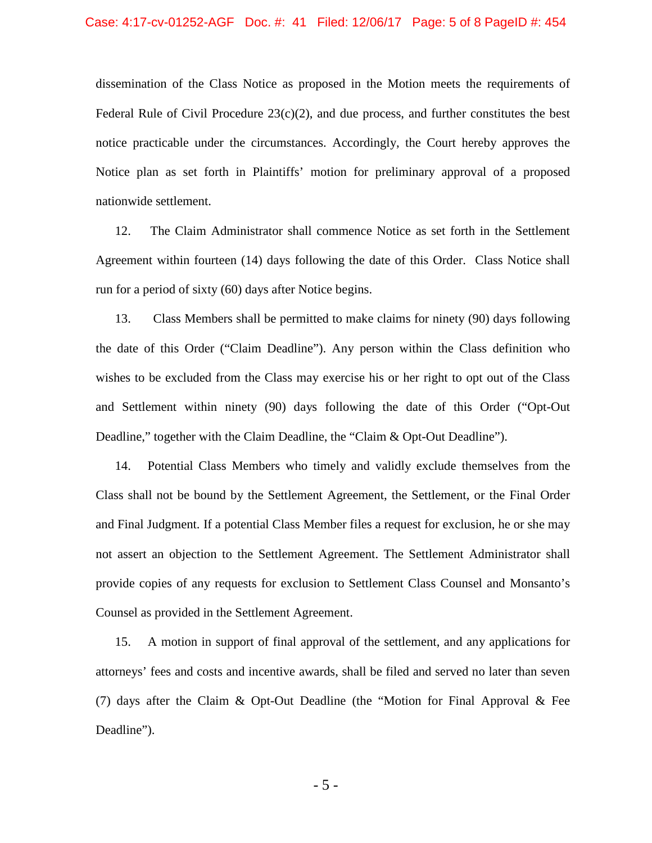dissemination of the Class Notice as proposed in the Motion meets the requirements of Federal Rule of Civil Procedure  $23(c)(2)$ , and due process, and further constitutes the best notice practicable under the circumstances. Accordingly, the Court hereby approves the Notice plan as set forth in Plaintiffs' motion for preliminary approval of a proposed nationwide settlement.

12. The Claim Administrator shall commence Notice as set forth in the Settlement Agreement within fourteen (14) days following the date of this Order. Class Notice shall run for a period of sixty (60) days after Notice begins.

13. Class Members shall be permitted to make claims for ninety (90) days following the date of this Order ("Claim Deadline"). Any person within the Class definition who wishes to be excluded from the Class may exercise his or her right to opt out of the Class and Settlement within ninety (90) days following the date of this Order ("Opt-Out Deadline," together with the Claim Deadline, the "Claim & Opt-Out Deadline").

14. Potential Class Members who timely and validly exclude themselves from the Class shall not be bound by the Settlement Agreement, the Settlement, or the Final Order and Final Judgment. If a potential Class Member files a request for exclusion, he or she may not assert an objection to the Settlement Agreement. The Settlement Administrator shall provide copies of any requests for exclusion to Settlement Class Counsel and Monsanto's Counsel as provided in the Settlement Agreement.

15. A motion in support of final approval of the settlement, and any applications for attorneys' fees and costs and incentive awards, shall be filed and served no later than seven (7) days after the Claim & Opt-Out Deadline (the "Motion for Final Approval & Fee Deadline").

- 5 -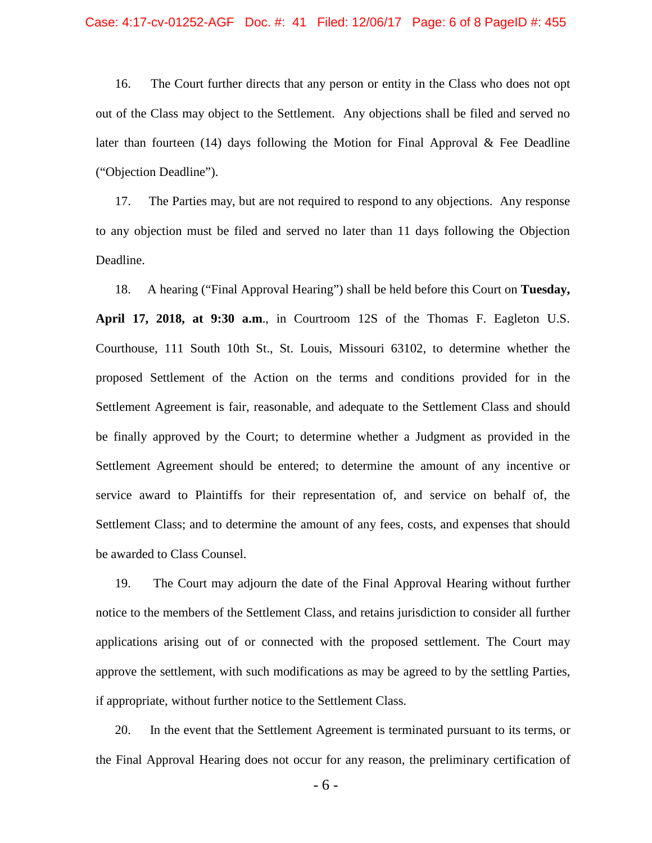### Case: 4:17-cv-01252-AGF Doc. #: 41 Filed: 12/06/17 Page: 6 of 8 PageID #: 455

16. The Court further directs that any person or entity in the Class who does not opt out of the Class may object to the Settlement. Any objections shall be filed and served no later than fourteen  $(14)$  days following the Motion for Final Approval & Fee Deadline ("Objection Deadline").

17. The Parties may, but are not required to respond to any objections. Any response to any objection must be filed and served no later than 11 days following the Objection Deadline.

18. A hearing ("Final Approval Hearing") shall be held before this Court on **Tuesday, April 17, 2018, at 9:30 a.m**., in Courtroom 12S of the Thomas F. Eagleton U.S. Courthouse, 111 South 10th St., St. Louis, Missouri 63102, to determine whether the proposed Settlement of the Action on the terms and conditions provided for in the Settlement Agreement is fair, reasonable, and adequate to the Settlement Class and should be finally approved by the Court; to determine whether a Judgment as provided in the Settlement Agreement should be entered; to determine the amount of any incentive or service award to Plaintiffs for their representation of, and service on behalf of, the Settlement Class; and to determine the amount of any fees, costs, and expenses that should be awarded to Class Counsel.

19. The Court may adjourn the date of the Final Approval Hearing without further notice to the members of the Settlement Class, and retains jurisdiction to consider all further applications arising out of or connected with the proposed settlement. The Court may approve the settlement, with such modifications as may be agreed to by the settling Parties, if appropriate, without further notice to the Settlement Class.

20. In the event that the Settlement Agreement is terminated pursuant to its terms, or the Final Approval Hearing does not occur for any reason, the preliminary certification of

- 6 -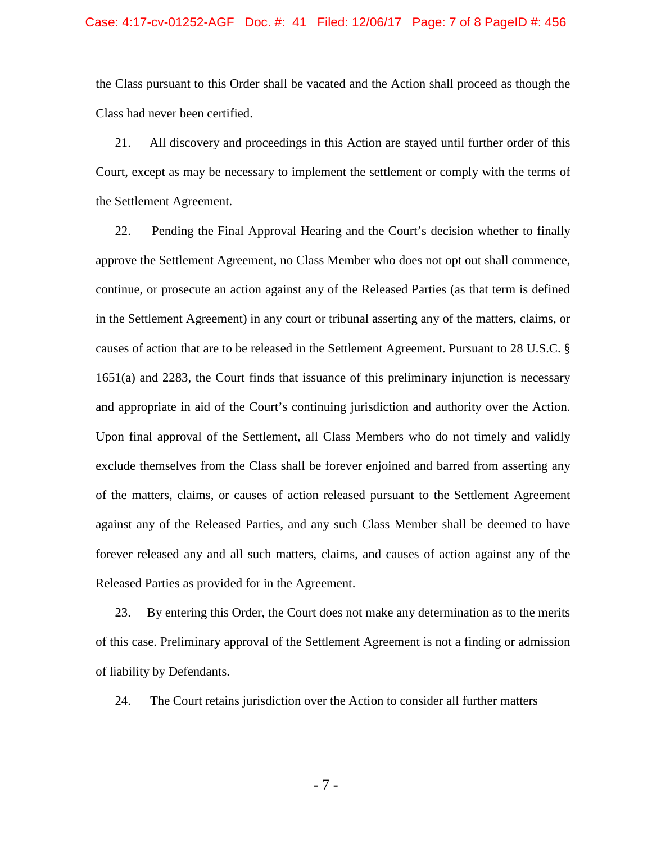#### Case: 4:17-cv-01252-AGF Doc. #: 41 Filed: 12/06/17 Page: 7 of 8 PageID #: 456

the Class pursuant to this Order shall be vacated and the Action shall proceed as though the Class had never been certified.

21. All discovery and proceedings in this Action are stayed until further order of this Court, except as may be necessary to implement the settlement or comply with the terms of the Settlement Agreement.

22. Pending the Final Approval Hearing and the Court's decision whether to finally approve the Settlement Agreement, no Class Member who does not opt out shall commence, continue, or prosecute an action against any of the Released Parties (as that term is defined in the Settlement Agreement) in any court or tribunal asserting any of the matters, claims, or causes of action that are to be released in the Settlement Agreement. Pursuant to 28 U.S.C. § 1651(a) and 2283, the Court finds that issuance of this preliminary injunction is necessary and appropriate in aid of the Court's continuing jurisdiction and authority over the Action. Upon final approval of the Settlement, all Class Members who do not timely and validly exclude themselves from the Class shall be forever enjoined and barred from asserting any of the matters, claims, or causes of action released pursuant to the Settlement Agreement against any of the Released Parties, and any such Class Member shall be deemed to have forever released any and all such matters, claims, and causes of action against any of the Released Parties as provided for in the Agreement.

23. By entering this Order, the Court does not make any determination as to the merits of this case. Preliminary approval of the Settlement Agreement is not a finding or admission of liability by Defendants.

24. The Court retains jurisdiction over the Action to consider all further matters

- 7 -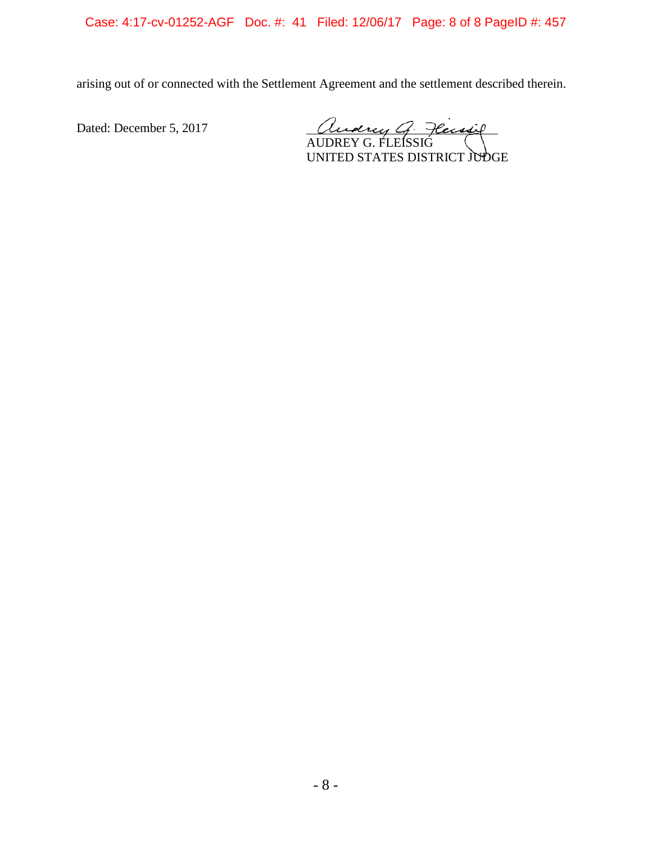Case: 4:17-cv-01252-AGF Doc. #: 41 Filed: 12/06/17 Page: 8 of 8 PageID #: 457

arising out of or connected with the Settlement Agreement and the settlement described therein.

Dated: December 5, 2017

Audry G. Fleisig

UNITED STATES DISTRICT JUDGE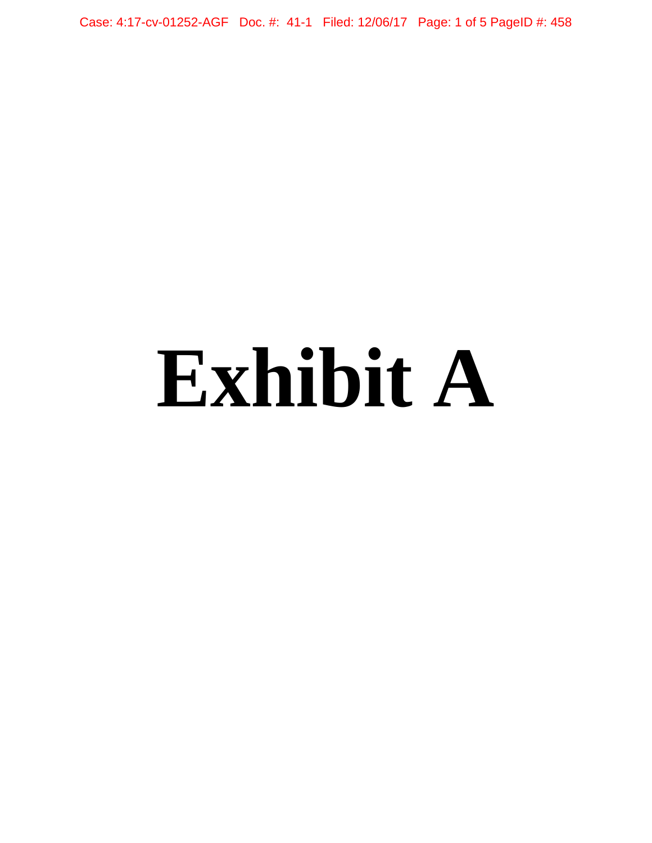Case: 4:17-cv-01252-AGF Doc. #: 41-1 Filed: 12/06/17 Page: 1 of 5 PageID #: 458

# **Exhibit A**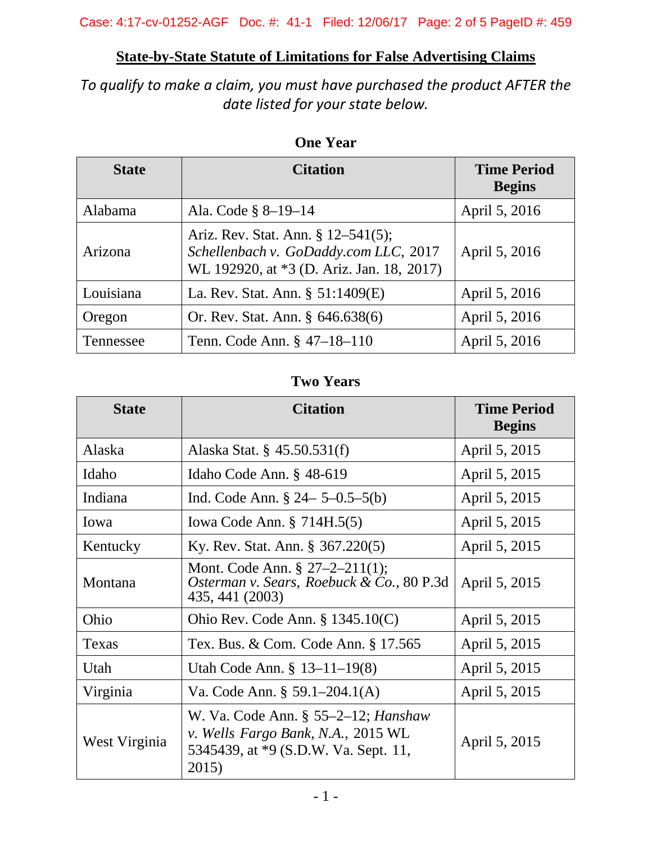# **State-by-State Statute of Limitations for False Advertising Claims**

*To qualify to make a claim, you must have purchased the product AFTER the date listed for your state below.*

| <b>State</b> | <b>Citation</b>                                                                                                          | <b>Time Period</b><br><b>Begins</b> |
|--------------|--------------------------------------------------------------------------------------------------------------------------|-------------------------------------|
| Alabama      | Ala. Code § 8-19-14                                                                                                      | April 5, 2016                       |
| Arizona      | Ariz. Rev. Stat. Ann. § 12–541(5);<br>Schellenbach v. GoDaddy.com LLC, 2017<br>WL 192920, at *3 (D. Ariz. Jan. 18, 2017) | April 5, 2016                       |
| Louisiana    | La. Rev. Stat. Ann. $\S$ 51:1409(E)                                                                                      | April 5, 2016                       |
| Oregon       | Or. Rev. Stat. Ann. § 646.638(6)                                                                                         | April 5, 2016                       |
| Tennessee    | Tenn. Code Ann. § 47–18–110                                                                                              | April 5, 2016                       |

## **One Year**

# **Two Years**

| <b>State</b>  | <b>Citation</b>                                                                                                               | <b>Time Period</b><br><b>Begins</b> |
|---------------|-------------------------------------------------------------------------------------------------------------------------------|-------------------------------------|
| Alaska        | Alaska Stat. § 45.50.531(f)                                                                                                   | April 5, 2015                       |
| Idaho         | Idaho Code Ann. $§$ 48-619                                                                                                    | April 5, 2015                       |
| Indiana       | Ind. Code Ann. $\S 24 - 5 - 0.5 - 5(b)$                                                                                       | April 5, 2015                       |
| Iowa          | Iowa Code Ann. § 714H.5(5)                                                                                                    | April 5, 2015                       |
| Kentucky      | Ky. Rev. Stat. Ann. § 367.220(5)                                                                                              | April 5, 2015                       |
| Montana       | Mont. Code Ann. $\S 27-2-211(1);$<br>Osterman v. Sears, Roebuck & Co., 80 P.3d<br>435, 441 (2003)                             | April 5, 2015                       |
| Ohio          | Ohio Rev. Code Ann. $\S$ 1345.10(C)                                                                                           | April 5, 2015                       |
| Texas         | Tex. Bus. & Com. Code Ann. § 17.565                                                                                           | April 5, 2015                       |
| Utah          | Utah Code Ann. § 13-11-19(8)                                                                                                  | April 5, 2015                       |
| Virginia      | Va. Code Ann. § 59.1–204.1(A)                                                                                                 | April 5, 2015                       |
| West Virginia | W. Va. Code Ann. $\S$ 55–2–12; Hanshaw<br>v. Wells Fargo Bank, N.A., 2015 WL<br>5345439, at *9 (S.D.W. Va. Sept. 11,<br>2015) | April 5, 2015                       |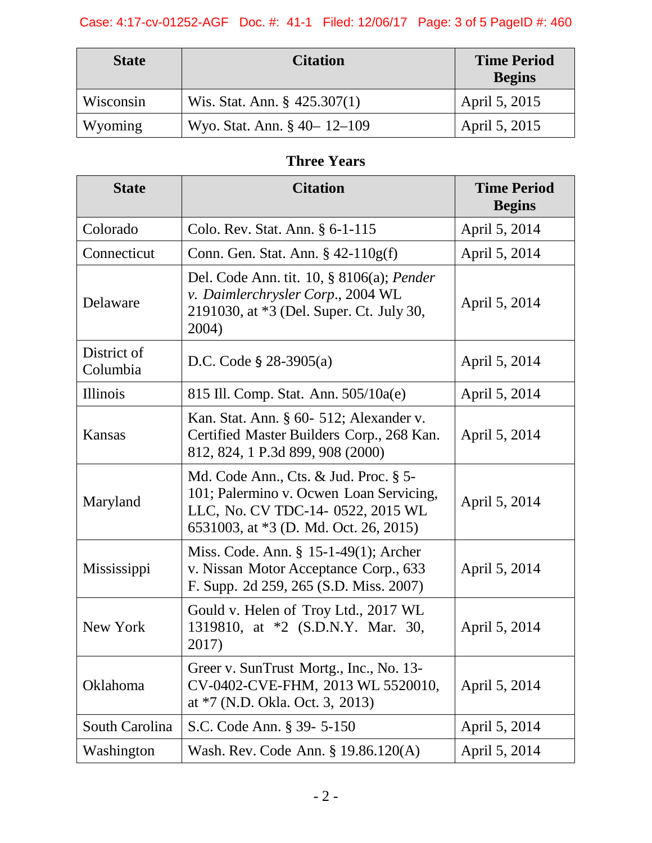# Case: 4:17-cv-01252-AGF Doc. #: 41-1 Filed: 12/06/17 Page: 3 of 5 PageID #: 460

| <b>State</b> | <b>Citation</b>                 | <b>Time Period</b><br><b>Begins</b> |
|--------------|---------------------------------|-------------------------------------|
| Wisconsin    | Wis. Stat. Ann. $\S$ 425.307(1) | April 5, 2015                       |
| Wyoming      | Wyo. Stat. Ann. § 40 - 12 - 109 | April 5, 2015                       |

# **Three Years**

| <b>State</b>            | <b>Citation</b>                                                                                                                                                | <b>Time Period</b><br><b>Begins</b> |
|-------------------------|----------------------------------------------------------------------------------------------------------------------------------------------------------------|-------------------------------------|
| Colorado                | Colo. Rev. Stat. Ann. § 6-1-115                                                                                                                                | April 5, 2014                       |
| Connecticut             | Conn. Gen. Stat. Ann. $\S$ 42-110g(f)                                                                                                                          | April 5, 2014                       |
| Delaware                | Del. Code Ann. tit. $10, \S 8106(a)$ ; Pender<br>v. Daimlerchrysler Corp., 2004 WL<br>2191030, at *3 (Del. Super. Ct. July 30,<br>2004)                        | April 5, 2014                       |
| District of<br>Columbia | D.C. Code $\S$ 28-3905(a)                                                                                                                                      | April 5, 2014                       |
| Illinois                | 815 Ill. Comp. Stat. Ann. 505/10a(e)                                                                                                                           | April 5, 2014                       |
| <b>Kansas</b>           | Kan. Stat. Ann. § 60- 512; Alexander v.<br>Certified Master Builders Corp., 268 Kan.<br>812, 824, 1 P.3d 899, 908 (2000)                                       | April 5, 2014                       |
| Maryland                | Md. Code Ann., Cts. & Jud. Proc. § 5-<br>101; Palermino v. Ocwen Loan Servicing,<br>LLC, No. CV TDC-14- 0522, 2015 WL<br>6531003, at *3 (D. Md. Oct. 26, 2015) | April 5, 2014                       |
| Mississippi             | Miss. Code. Ann. § 15-1-49(1); Archer<br>v. Nissan Motor Acceptance Corp., 633<br>F. Supp. 2d 259, 265 (S.D. Miss. 2007)                                       | April 5, 2014                       |
| New York                | Gould v. Helen of Troy Ltd., 2017 WL<br>1319810, at *2 (S.D.N.Y. Mar. 30,<br>2017)                                                                             | April 5, 2014                       |
| Oklahoma                | Greer v. SunTrust Mortg., Inc., No. 13-<br>CV-0402-CVE-FHM, 2013 WL 5520010,<br>at *7 (N.D. Okla. Oct. 3, 2013)                                                | April 5, 2014                       |
| South Carolina          | S.C. Code Ann. § 39- 5-150                                                                                                                                     | April 5, 2014                       |
| Washington              | Wash. Rev. Code Ann. § 19.86.120(A)                                                                                                                            | April 5, 2014                       |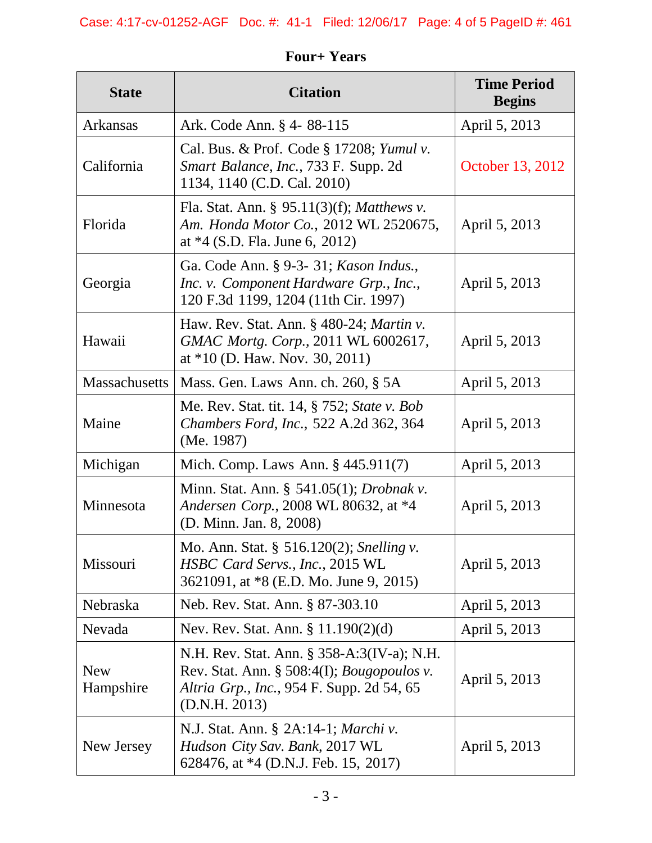| <b>State</b>            | <b>Citation</b>                                                                                                                                                   | <b>Time Period</b><br><b>Begins</b> |
|-------------------------|-------------------------------------------------------------------------------------------------------------------------------------------------------------------|-------------------------------------|
| Arkansas                | Ark. Code Ann. § 4-88-115                                                                                                                                         | April 5, 2013                       |
| California              | Cal. Bus. & Prof. Code § 17208; Yumul v.<br>Smart Balance, Inc., 733 F. Supp. 2d<br>1134, 1140 (C.D. Cal. 2010)                                                   | October 13, 2012                    |
| Florida                 | Fla. Stat. Ann. § 95.11(3)(f); Matthews v.<br>Am. Honda Motor Co., 2012 WL 2520675,<br>at $*4$ (S.D. Fla. June 6, 2012)                                           | April 5, 2013                       |
| Georgia                 | Ga. Code Ann. § 9-3- 31; Kason Indus.,<br>Inc. v. Component Hardware Grp., Inc.,<br>120 F.3d 1199, 1204 (11th Cir. 1997)                                          | April 5, 2013                       |
| Hawaii                  | Haw. Rev. Stat. Ann. § 480-24; Martin v.<br>GMAC Mortg. Corp., 2011 WL 6002617,<br>at $*10$ (D. Haw. Nov. 30, 2011)                                               | April 5, 2013                       |
| <b>Massachusetts</b>    | Mass. Gen. Laws Ann. ch. 260, § 5A                                                                                                                                | April 5, 2013                       |
| Maine                   | Me. Rev. Stat. tit. 14, § 752; State v. Bob<br><i>Chambers Ford, Inc., 522 A.2d 362, 364</i><br>(Me. 1987)                                                        | April 5, 2013                       |
| Michigan                | Mich. Comp. Laws Ann. § 445.911(7)                                                                                                                                | April 5, 2013                       |
| Minnesota               | Minn. Stat. Ann. § 541.05(1); <i>Drobnak v</i> .<br>Andersen Corp., 2008 WL 80632, at *4<br>(D. Minn. Jan. 8, 2008)                                               | April 5, 2013                       |
| Missouri                | Mo. Ann. Stat. § 516.120(2); Snelling v.<br>HSBC Card Servs., Inc., 2015 WL<br>3621091, at *8 (E.D. Mo. June 9, 2015)                                             | April 5, 2013                       |
| Nebraska                | Neb. Rev. Stat. Ann. § 87-303.10                                                                                                                                  | April 5, 2013                       |
| Nevada                  | Nev. Rev. Stat. Ann. § 11.190(2)(d)                                                                                                                               | April 5, 2013                       |
| <b>New</b><br>Hampshire | N.H. Rev. Stat. Ann. § 358-A:3(IV-a); N.H.<br>Rev. Stat. Ann. $\S 508:4(I)$ ; <i>Bougopoulos v.</i><br>Altria Grp., Inc., 954 F. Supp. 2d 54, 65<br>(D.N.H. 2013) | April 5, 2013                       |
| New Jersey              | N.J. Stat. Ann. § 2A:14-1; <i>Marchi v.</i><br>Hudson City Sav. Bank, 2017 WL<br>628476, at *4 (D.N.J. Feb. 15, 2017)                                             | April 5, 2013                       |